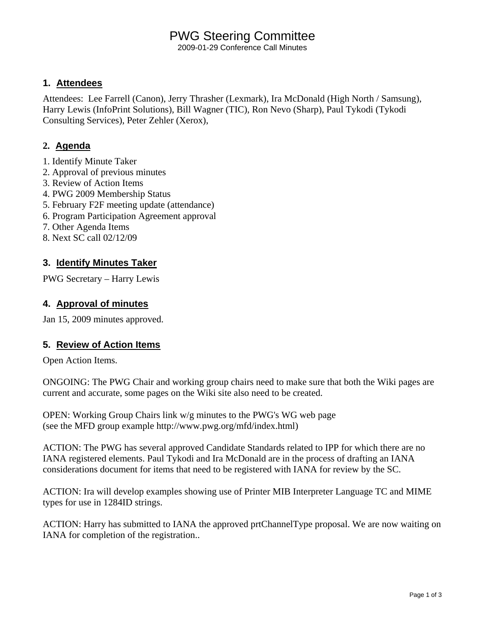# PWG Steering Committee

2009-01-29 Conference Call Minutes

#### **1. Attendees**

Attendees: Lee Farrell (Canon), Jerry Thrasher (Lexmark), Ira McDonald (High North / Samsung), Harry Lewis (InfoPrint Solutions), Bill Wagner (TIC), Ron Nevo (Sharp), Paul Tykodi (Tykodi Consulting Services), Peter Zehler (Xerox),

### **2. Agenda**

- 1. Identify Minute Taker
- 2. Approval of previous minutes
- 3. Review of Action Items
- 4. PWG 2009 Membership Status
- 5. February F2F meeting update (attendance)
- 6. Program Participation Agreement approval
- 7. Other Agenda Items
- 8. Next SC call 02/12/09

### **3. Identify Minutes Taker**

PWG Secretary – Harry Lewis

### **4. Approval of minutes**

Jan 15, 2009 minutes approved.

#### **5. Review of Action Items**

Open Action Items.

ONGOING: The PWG Chair and working group chairs need to make sure that both the Wiki pages are current and accurate, some pages on the Wiki site also need to be created.

OPEN: Working Group Chairs link w/g minutes to the PWG's WG web page (see the MFD group example http://www.pwg.org/mfd/index.html)

ACTION: The PWG has several approved Candidate Standards related to IPP for which there are no IANA registered elements. Paul Tykodi and Ira McDonald are in the process of drafting an IANA considerations document for items that need to be registered with IANA for review by the SC.

ACTION: Ira will develop examples showing use of Printer MIB Interpreter Language TC and MIME types for use in 1284ID strings.

ACTION: Harry has submitted to IANA the approved prtChannelType proposal. We are now waiting on IANA for completion of the registration..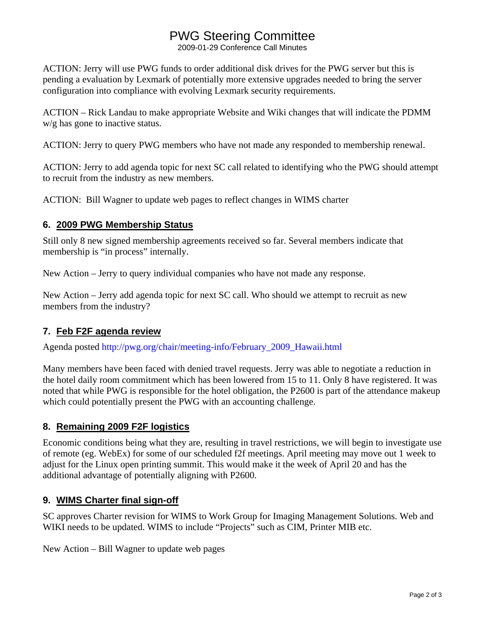# PWG Steering Committee

2009-01-29 Conference Call Minutes

ACTION: Jerry will use PWG funds to order additional disk drives for the PWG server but this is pending a evaluation by Lexmark of potentially more extensive upgrades needed to bring the server configuration into compliance with evolving Lexmark security requirements.

ACTION – Rick Landau to make appropriate Website and Wiki changes that will indicate the PDMM w/g has gone to inactive status.

ACTION: Jerry to query PWG members who have not made any responded to membership renewal.

ACTION: Jerry to add agenda topic for next SC call related to identifying who the PWG should attempt to recruit from the industry as new members.

ACTION: Bill Wagner to update web pages to reflect changes in WIMS charter

#### **6. 2009 PWG Membership Status**

Still only 8 new signed membership agreements received so far. Several members indicate that membership is "in process" internally.

New Action – Jerry to query individual companies who have not made any response.

New Action – Jerry add agenda topic for next SC call. Who should we attempt to recruit as new members from the industry?

#### **7. Feb F2F agenda review**

Agenda posted http://pwg.org/chair/meeting-info/February\_2009\_Hawaii.html

Many members have been faced with denied travel requests. Jerry was able to negotiate a reduction in the hotel daily room commitment which has been lowered from 15 to 11. Only 8 have registered. It was noted that while PWG is responsible for the hotel obligation, the P2600 is part of the attendance makeup which could potentially present the PWG with an accounting challenge.

#### **8. Remaining 2009 F2F logistics**

Economic conditions being what they are, resulting in travel restrictions, we will begin to investigate use of remote (eg. WebEx) for some of our scheduled f2f meetings. April meeting may move out 1 week to adjust for the Linux open printing summit. This would make it the week of April 20 and has the additional advantage of potentially aligning with P2600.

#### **9. WIMS Charter final sign-off**

SC approves Charter revision for WIMS to Work Group for Imaging Management Solutions. Web and WIKI needs to be updated. WIMS to include "Projects" such as CIM, Printer MIB etc.

New Action – Bill Wagner to update web pages